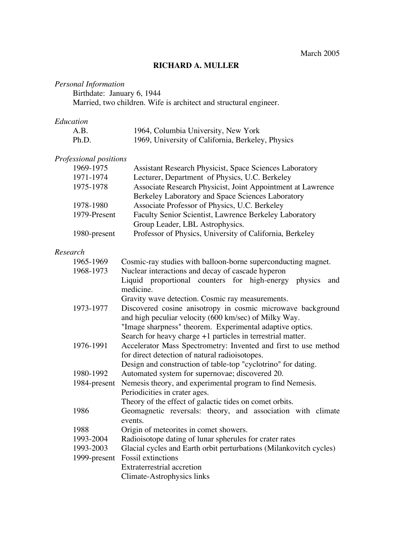## **RICHARD A. MULLER**

# *Personal Information*

Birthdate: January 6, 1944

Married, two children. Wife is architect and structural engineer.

### *Education*

| A.B.  | 1964, Columbia University, New York               |
|-------|---------------------------------------------------|
| Ph.D. | 1969, University of California, Berkeley, Physics |

## *Professional positions*

| <b>Assistant Research Physicist, Space Sciences Laboratory</b> |
|----------------------------------------------------------------|
| Lecturer, Department of Physics, U.C. Berkeley                 |
| Associate Research Physicist, Joint Appointment at Lawrence    |
| Berkeley Laboratory and Space Sciences Laboratory              |
| Associate Professor of Physics, U.C. Berkeley                  |
| Faculty Senior Scientist, Lawrence Berkeley Laboratory         |
| Group Leader, LBL Astrophysics.                                |
| Professor of Physics, University of California, Berkeley       |
|                                                                |

## *Research*

| 1965-1969    | Cosmic-ray studies with balloon-borne superconducting magnet.      |
|--------------|--------------------------------------------------------------------|
| 1968-1973    | Nuclear interactions and decay of cascade hyperon                  |
|              | Liquid proportional counters for high-energy physics<br>and        |
|              | medicine.                                                          |
|              | Gravity wave detection. Cosmic ray measurements.                   |
| 1973-1977    | Discovered cosine anisotropy in cosmic microwave background        |
|              | and high peculiar velocity (600 km/sec) of Milky Way.              |
|              | "Image sharpness" theorem. Experimental adaptive optics.           |
|              | Search for heavy charge $+1$ particles in terrestrial matter.      |
| 1976-1991    | Accelerator Mass Spectrometry: Invented and first to use method    |
|              | for direct detection of natural radioisotopes.                     |
|              | Design and construction of table-top "cyclotrino" for dating.      |
| 1980-1992    | Automated system for supernovae; discovered 20.                    |
| 1984-present | Nemesis theory, and experimental program to find Nemesis.          |
|              | Periodicities in crater ages.                                      |
|              | Theory of the effect of galactic tides on comet orbits.            |
| 1986         | Geomagnetic reversals: theory, and association with climate        |
|              | events.                                                            |
| 1988         | Origin of meteorites in comet showers.                             |
| 1993-2004    | Radioisotope dating of lunar spherules for crater rates            |
| 1993-2003    | Glacial cycles and Earth orbit perturbations (Milankovitch cycles) |
|              | 1999-present Fossil extinctions                                    |
|              | Extraterrestrial accretion                                         |
|              | Climate-Astrophysics links                                         |
|              |                                                                    |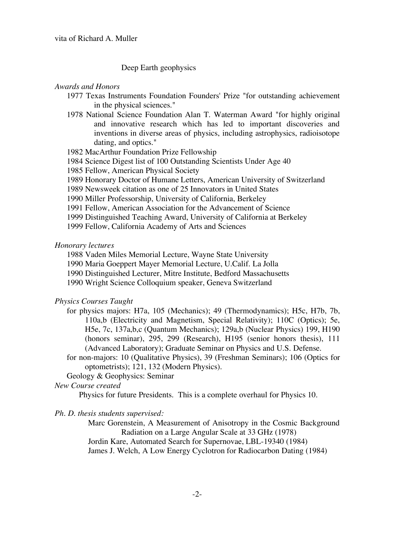#### Deep Earth geophysics

#### *Awards and Honors*

- 1977 Texas Instruments Foundation Founders' Prize "for outstanding achievement in the physical sciences."
- 1978 National Science Foundation Alan T. Waterman Award "for highly original and innovative research which has led to important discoveries and inventions in diverse areas of physics, including astrophysics, radioisotope dating, and optics."
- 1982 MacArthur Foundation Prize Fellowship
- 1984 Science Digest list of 100 Outstanding Scientists Under Age 40
- 1985 Fellow, American Physical Society
- 1989 Honorary Doctor of Humane Letters, American University of Switzerland
- 1989 Newsweek citation as one of 25 Innovators in United States
- 1990 Miller Professorship, University of California, Berkeley
- 1991 Fellow, American Association for the Advancement of Science
- 1999 Distinguished Teaching Award, University of California at Berkeley
- 1999 Fellow, California Academy of Arts and Sciences

#### *Honorary lectures*

- 1988 Vaden Miles Memorial Lecture, Wayne State University
- 1990 Maria Goeppert Mayer Memorial Lecture, U.Calif. La Jolla
- 1990 Distinguished Lecturer, Mitre Institute, Bedford Massachusetts
- 1990 Wright Science Colloquium speaker, Geneva Switzerland

#### *Physics Courses Taught*

- for physics majors: H7a, 105 (Mechanics); 49 (Thermodynamics); H5c, H7b, 7b, 110a,b (Electricity and Magnetism, Special Relativity); 110C (Optics); 5e, H5e, 7c, 137a,b,c (Quantum Mechanics); 129a,b (Nuclear Physics) 199, H190 (honors seminar), 295, 299 (Research), H195 (senior honors thesis), 111 (Advanced Laboratory); Graduate Seminar on Physics and U.S. Defense.
- for non-majors: 10 (Qualitative Physics), 39 (Freshman Seminars); 106 (Optics for optometrists); 121, 132 (Modern Physics).
- Geology & Geophysics: Seminar

### *New Course created*

Physics for future Presidents. This is a complete overhaul for Physics 10.

#### *Ph. D. thesis students supervised:*

Marc Gorenstein, A Measurement of Anisotropy in the Cosmic Background Radiation on a Large Angular Scale at 33 GHz (1978) Jordin Kare, Automated Search for Supernovae, LBL-19340 (1984) James J. Welch, A Low Energy Cyclotron for Radiocarbon Dating (1984)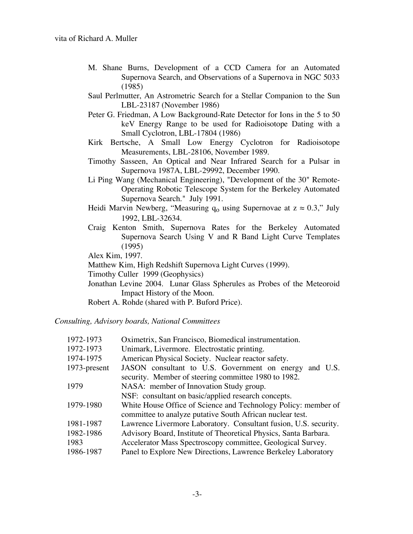- M. Shane Burns, Development of a CCD Camera for an Automated Supernova Search, and Observations of a Supernova in NGC 5033 (1985)
- Saul Perlmutter, An Astrometric Search for a Stellar Companion to the Sun LBL-23187 (November 1986)
- Peter G. Friedman, A Low Background-Rate Detector for Ions in the 5 to 50 keV Energy Range to be used for Radioisotope Dating with a Small Cyclotron, LBL-17804 (1986)
- Kirk Bertsche, A Small Low Energy Cyclotron for Radioisotope Measurements, LBL-28106, November 1989.
- Timothy Sasseen, An Optical and Near Infrared Search for a Pulsar in Supernova 1987A, LBL-29992, December 1990.
- Li Ping Wang (Mechanical Engineering), "Development of the 30" Remote-Operating Robotic Telescope System for the Berkeley Automated Supernova Search." July 1991.
- Heidi Marvin Newberg, "Measuring  $q_0$  using Supernovae at  $z \approx 0.3$ ," July 1992, LBL-32634.
- Craig Kenton Smith, Supernova Rates for the Berkeley Automated Supernova Search Using V and R Band Light Curve Templates (1995)

Alex Kim, 1997.

Matthew Kim, High Redshift Supernova Light Curves (1999).

Timothy Culler 1999 (Geophysics)

Jonathan Levine 2004. Lunar Glass Spherules as Probes of the Meteoroid Impact History of the Moon.

Robert A. Rohde (shared with P. Buford Price).

*Consulting, Advisory boards, National Committees*

| Oximetrix, San Francisco, Biomedical instrumentation.                                                                       |
|-----------------------------------------------------------------------------------------------------------------------------|
| Unimark, Livermore. Electrostatic printing.                                                                                 |
| American Physical Society. Nuclear reactor safety.                                                                          |
| JASON consultant to U.S. Government on energy<br>and U.S.<br>security. Member of steering committee 1980 to 1982.           |
| NASA: member of Innovation Study group.                                                                                     |
| NSF: consultant on basic/applied research concepts.                                                                         |
| White House Office of Science and Technology Policy: member of<br>committee to analyze putative South African nuclear test. |
| Lawrence Livermore Laboratory. Consultant fusion, U.S. security.                                                            |
| Advisory Board, Institute of Theoretical Physics, Santa Barbara.                                                            |
| Accelerator Mass Spectroscopy committee, Geological Survey.                                                                 |
| Panel to Explore New Directions, Lawrence Berkeley Laboratory                                                               |
|                                                                                                                             |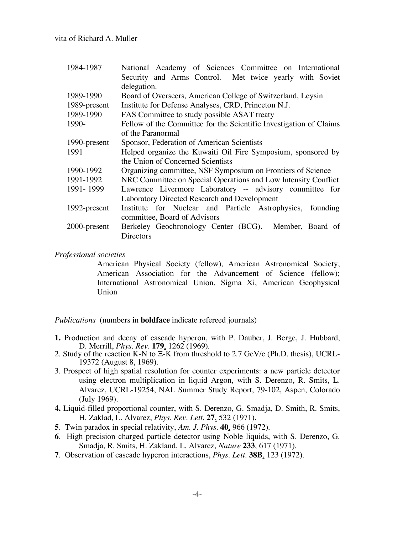vita of Richard A. Muller

| 1984-1987    | National Academy of Sciences Committee on International            |
|--------------|--------------------------------------------------------------------|
|              | Security and Arms Control. Met twice yearly with Soviet            |
|              | delegation.                                                        |
| 1989-1990    | Board of Overseers, American College of Switzerland, Leysin        |
| 1989-present | Institute for Defense Analyses, CRD, Princeton N.J.                |
| 1989-1990    | FAS Committee to study possible ASAT treaty                        |
| 1990-        | Fellow of the Committee for the Scientific Investigation of Claims |
|              | of the Paranormal                                                  |
| 1990-present | Sponsor, Federation of American Scientists                         |
| 1991         | Helped organize the Kuwaiti Oil Fire Symposium, sponsored by       |
|              | the Union of Concerned Scientists                                  |
| 1990-1992    | Organizing committee, NSF Symposium on Frontiers of Science        |
| 1991-1992    | NRC Committee on Special Operations and Low Intensity Conflict     |
| 1991-1999    | Lawrence Livermore Laboratory -- advisory committee for            |
|              | Laboratory Directed Research and Development                       |
| 1992-present | Institute for Nuclear and Particle Astrophysics, founding          |
|              | committee, Board of Advisors                                       |
| 2000-present | Berkeley Geochronology Center (BCG). Member, Board of              |
|              | Directors                                                          |
|              |                                                                    |

### *Professional societies*

American Physical Society (fellow), American Astronomical Society, American Association for the Advancement of Science (fellow); International Astronomical Union, Sigma Xi, American Geophysical Union

*Publications* (numbers in **boldface** indicate refereed journals)

- **1.** Production and decay of cascade hyperon, with P. Dauber, J. Berge, J. Hubbard,<br>D. Merrill, *Phys. Rev.* **179**, 1262 (1969).<br>2. Study of the reaction K-N to  $\Xi$ -K from threshold to 2.7 GeV/c (Ph.D. thesis), UCRL-<br>193
- 
- 3. Prospect of high spatial resolution for counter experiments: a new particle detector using electron multiplication in liquid Argon, with S. Derenzo, R. Smits, L. Alvarez, UCRL-19254, NAL Summer Study Report, 79-102, Aspen, Colorado (July 1969).
- **4.** Liquid-filled proportional counter, with S. Derenzo, G. Smadja, D. Smith, R. Smits, H. Zaklad, L. Alvarez, *Phys. Rev. Lett.* **27**, 532 (1971).
- **5**. Twin paradox in special relativity, *Am. J. Phys.* **40**, 966 (1972).
- **6**. High precision charged particle detector using Noble liquids, with S. Derenzo, G. Smadja, R. Smits, H. Zakland, L. Alvarez, *Nature* **233**, 617 (1971).
- **7**. Observation of cascade hyperon interactions, *Phys. Lett.* **38B**, 123 (1972).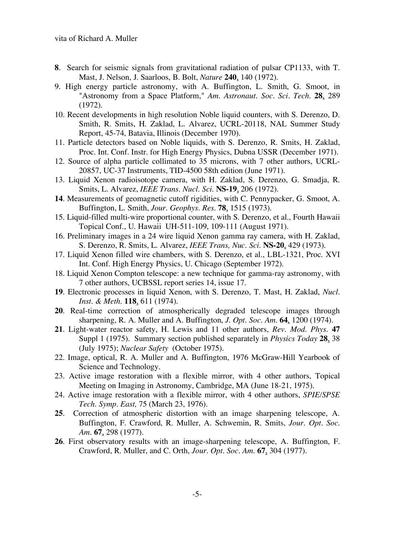- **8**. Search for seismic signals from gravitational radiation of pulsar CP1133, with T. Mast, J. Nelson, J. Saarloos, B. Bolt, *Nature* **240**, 140 (1972).
- 9. High energy particle astronomy, with A. Buffington, L. Smith, G. Smoot, in "Astronomy from a Space Platform," *Am. Astronaut. Soc. Sci. Tech.* **28**, 289 (1972).
- 10. Recent developments in high resolution Noble liquid counters, with S. Derenzo, D. Smith, R. Smits, H. Zaklad, L. Alvarez, UCRL-20118, NAL Summer Study Report, 45-74, Batavia, Illinois (December 1970).
- 11. Particle detectors based on Noble liquids, with S. Derenzo, R. Smits, H. Zaklad, Proc. Int. Conf. Instr. for High Energy Physics, Dubna USSR (December 1971).
- 12. Source of alpha particle collimated to 35 microns, with 7 other authors, UCRL-20857, UC-37 Instruments, TID-4500 58th edition (June 1971).
- 13. Liquid Xenon radioisotope camera, with H. Zaklad, S. Derenzo, G. Smadja, R. Smits, L. Alvarez, *IEEE Trans. Nucl. Sci.* **NS-19**, 206 (1972).
- **14**. Measurements of geomagnetic cutoff rigidities, with C. Pennypacker, G. Smoot, A. Buffington, L. Smith, *Jour. Geophys. Res.* **78**, 1515 (1973).
- 15. Liquid-filled multi-wire proportional counter, with S. Derenzo, et al., Fourth Hawaii Topical Conf., U. Hawaii UH-511-109, 109-111 (August 1971).
- 16. Preliminary images in a 24 wire liquid Xenon gamma ray camera, with H. Zaklad, S. Derenzo, R. Smits, L. Alvarez, *IEEE Trans, Nuc. Sci.* **NS-20**, 429 (1973).
- 17. Liquid Xenon filled wire chambers, with S. Derenzo, et al., LBL-1321, Proc. XVI Int. Conf. High Energy Physics, U. Chicago (September 1972).
- 18. Liquid Xenon Compton telescope: a new technique for gamma-ray astronomy, with 7 other authors, UCBSSL report series 14, issue 17.
- **19**. Electronic processes in liquid Xenon, with S. Derenzo, T. Mast, H. Zaklad, *Nucl. Inst. & Meth.* **118**, 611 (1974).
- **20**. Real-time correction of atmospherically degraded telescope images through sharpening, R. A. Muller and A. Buffington, *J. Opt. Soc. Am.* **64**, 1200 (1974).
- **21**. Light-water reactor safety, H. Lewis and 11 other authors, *Rev. Mod. Phys*. **47** Suppl 1 (1975). Summary section published separately in *Physics Today* **28**, 38 (July 1975); *Nuclear Safety* (October 1975).
- 22. Image, optical, R. A. Muller and A. Buffington, 1976 McGraw-Hill Yearbook of Science and Technology.
- 23. Active image restoration with a flexible mirror, with 4 other authors, Topical Meeting on Imaging in Astronomy, Cambridge, MA (June 18-21, 1975).
- 24. Active image restoration with a flexible mirror, with 4 other authors, *SPIE/SPSE Tech. Symp. East,* 75 (March 23, 1976).
- **25**. Correction of atmospheric distortion with an image sharpening telescope, A. Buffington, F. Crawford, R. Muller, A. Schwemin, R. Smits, *Jour. Opt. Soc. Am.* **67**, 298 (1977).
- **26**. First observatory results with an image-sharpening telescope, A. Buffington, F. Crawford, R. Muller, and C. Orth, *Jour. Opt. Soc. Am.* **67**, 304 (1977).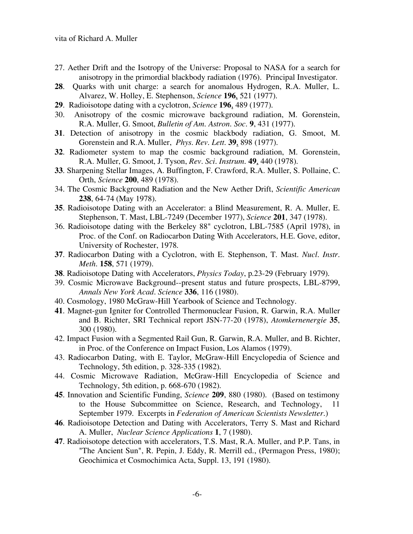- 27. Aether Drift and the Isotropy of the Universe: Proposal to NASA for a search for anisotropy in the primordial blackbody radiation (1976). Principal Investigator.
- **28**. Quarks with unit charge: a search for anomalous Hydrogen, R.A. Muller, L. Alvarez, W. Holley, E. Stephenson, *Science* **196**, 521 (1977).
- **29**. Radioisotope dating with a cyclotron, *Science* **196**, 489 (1977).
- 30. Anisotropy of the cosmic microwave background radiation, M. Gorenstein, R.A. Muller, G. Smoot, *Bulletin of Am. Astron. Soc.* **9**, 431 (1977).
- **31**. Detection of anisotropy in the cosmic blackbody radiation, G. Smoot, M. Gorenstein and R.A. Muller, *Phys. Rev. Lett.* **39**, 898 (1977).
- **32**. Radiometer system to map the cosmic background radiation, M. Gorenstein, R.A. Muller, G. Smoot, J. Tyson, *Rev. Sci. Instrum.* **49**, 440 (1978).
- **33**. Sharpening Stellar Images, A. Buffington, F. Crawford, R.A. Muller, S. Pollaine, C. Orth, *Science* **200**, 489 (1978).
- 34. The Cosmic Background Radiation and the New Aether Drift, *Scientific American* **238**, 64-74 (May 1978).
- **35**. Radioisotope Dating with an Accelerator: a Blind Measurement, R. A. Muller, E. Stephenson, T. Mast, LBL-7249 (December 1977), *Science* **201**, 347 (1978).
- 36. Radioisotope dating with the Berkeley 88" cyclotron, LBL-7585 (April 1978), in Proc. of the Conf. on Radiocarbon Dating With Accelerators, H.E. Gove, editor, University of Rochester, 1978.
- **37**. Radiocarbon Dating with a Cyclotron, with E. Stephenson, T. Mast. *Nucl. Instr. Meth.* **158**, 571 (1979).
- **38**. Radioisotope Dating with Accelerators, *Physics Today*, p.23-29 (February 1979).
- 39. Cosmic Microwave Background--present status and future prospects, LBL-8799, *Annals New York Acad. Science* **336**, 116 (1980).
- 40. Cosmology, 1980 McGraw-Hill Yearbook of Science and Technology.
- **41**. Magnet-gun Igniter for Controlled Thermonuclear Fusion, R. Garwin, R.A. Muller and B. Richter, SRI Technical report JSN-77-20 (1978), *Atomkernenergie* **35**, 300 (1980).
- 42. Impact Fusion with a Segmented Rail Gun, R. Garwin, R.A. Muller, and B. Richter, in Proc. of the Conference on Impact Fusion, Los Alamos (1979).
- 43. Radiocarbon Dating, with E. Taylor, McGraw-Hill Encyclopedia of Science and Technology, 5th edition, p. 328-335 (1982).
- 44. Cosmic Microwave Radiation, McGraw-Hill Encyclopedia of Science and Technology, 5th edition, p. 668-670 (1982).
- **45**. Innovation and Scientific Funding, *Science* **209**, 880 (1980). (Based on testimony to the House Subcommittee on Science, Research, and Technology, 11 September 1979. Excerpts in *Federation of American Scientists Newsletter*.)
- **46**. Radioisotope Detection and Dating with Accelerators, Terry S. Mast and Richard A. Muller, *Nuclear Science Applications* **1**, 7 (1980).
- **47**. Radioisotope detection with accelerators, T.S. Mast, R.A. Muller, and P.P. Tans, in "The Ancient Sun", R. Pepin, J. Eddy, R. Merrill ed., (Permagon Press, 1980); Geochimica et Cosmochimica Acta, Suppl. 13, 191 (1980).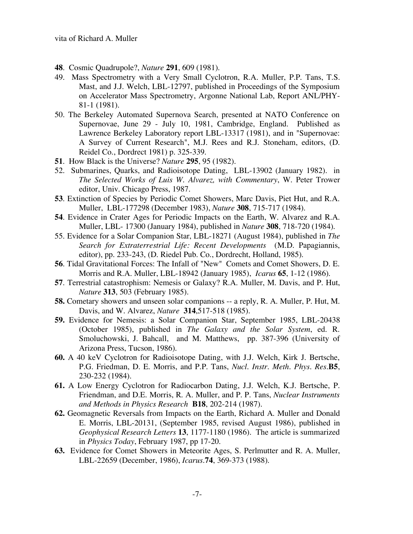- **48**. Cosmic Quadrupole?, *Nature* **291**, 609 (1981).
- 49. Mass Spectrometry with a Very Small Cyclotron, R.A. Muller, P.P. Tans, T.S. Mast, and J.J. Welch, LBL-12797, published in Proceedings of the Symposium on Accelerator Mass Spectrometry, Argonne National Lab, Report ANL/PHY-81-1 (1981).
- 50. The Berkeley Automated Supernova Search, presented at NATO Conference on Supernovae, June 29 - July 10, 1981, Cambridge, England. Published as Lawrence Berkeley Laboratory report LBL-13317 (1981), and in "Supernovae: A Survey of Current Research", M.J. Rees and R.J. Stoneham, editors, (D. Reidel Co., Dordrect 1981) p. 325-339.
- **51**. How Black is the Universe? *Nature* **295**, 95 (1982).
- 52. Submarines, Quarks, and Radioisotope Dating, LBL-13902 (January 1982). in *The Selected Works of Luis W. Alvarez, with Commentary*, W. Peter Trower editor, Univ. Chicago Press, 1987.
- **53**. Extinction of Species by Periodic Comet Showers, Marc Davis, Piet Hut, and R.A. Muller, LBL-177298 (December 1983), *Nature* **308**, 715-717 (1984).
- **54**. Evidence in Crater Ages for Periodic Impacts on the Earth, W. Alvarez and R.A. Muller, LBL- 17300 (January 1984), published in *Nature* **308**, 718-720 (1984).
- 55. Evidence for a Solar Companion Star, LBL-18271 (August 1984), published in *The Search for Extraterrestrial Life: Recent Developments* (M.D. Papagiannis, editor), pp. 233-243, (D. Riedel Pub. Co., Dordrecht, Holland, 1985).
- **56**. Tidal Gravitational Forces: The Infall of "New" Comets and Comet Showers, D. E. Morris and R.A. Muller, LBL-18942 (January 1985), *Icarus* **65**, 1-12 (1986).
- **57**. Terrestrial catastrophism: Nemesis or Galaxy? R.A. Muller, M. Davis, and P. Hut, *Nature* **313**, 503 (February 1985).
- **58.** Cometary showers and unseen solar companions -- a reply, R. A. Muller, P. Hut, M. Davis, and W. Alvarez, *Nature* **314**,517-518 (1985).
- **59.** Evidence for Nemesis: a Solar Companion Star, September 1985, LBL-20438 (October 1985), published in *The Galaxy and the Solar System*, ed. R. Smoluchowski, J. Bahcall, and M. Matthews, pp. 387-396 (University of Arizona Press, Tucson, 1986).
- **60.** A 40 keV Cyclotron for Radioisotope Dating, with J.J. Welch, Kirk J. Bertsche, P.G. Friedman, D. E. Morris, and P.P. Tans, *Nucl. Instr. Meth. Phys. Res.***B5**, 230-232 (1984).
- **61.** A Low Energy Cyclotron for Radiocarbon Dating, J.J. Welch, K.J. Bertsche, P. Friendman, and D.E. Morris, R. A. Muller, and P. P. Tans, *Nuclear Instruments and Methods in Physics Research* **B18**, 202-214 (1987).
- **62.** Geomagnetic Reversals from Impacts on the Earth, Richard A. Muller and Donald E. Morris, LBL-20131, (September 1985, revised August 1986), published in *Geophysical Research Letters* **13**, 1177-1180 (1986). The article is summarized in *Physics Today*, February 1987, pp 17-20.
- **63.** Evidence for Comet Showers in Meteorite Ages, S. Perlmutter and R. A. Muller, LBL-22659 (December, 1986), *Icarus*.**74**, 369-373 (1988).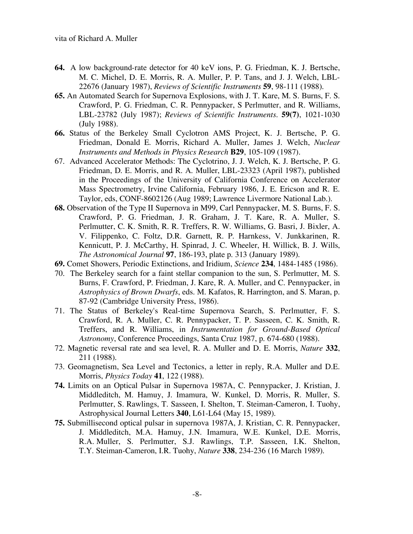- **64.** A low background-rate detector for 40 keV ions, P. G. Friedman, K. J. Bertsche, M. C. Michel, D. E. Morris, R. A. Muller, P. P. Tans, and J. J. Welch, LBL-22676 (January 1987), *Reviews of Scientific Instruments* **59**, 98-111 (1988).
- **65.** An Automated Search for Supernova Explosions, with J. T. Kare, M. S. Burns, F. S. Crawford, P. G. Friedman, C. R. Pennypacker, S Perlmutter, and R. Williams, LBL-23782 (July 1987); *Reviews of Scientific Instruments*. **59(7)**, 1021-1030 (July 1988).
- **66.** Status of the Berkeley Small Cyclotron AMS Project, K. J. Bertsche, P. G. Friedman, Donald E. Morris, Richard A. Muller, James J. Welch, *Nuclear Instruments and Methods in Physics Research* **B29**, 105-109 (1987).
- 67. Advanced Accelerator Methods: The Cyclotrino, J. J. Welch, K. J. Bertsche, P. G. Friedman, D. E. Morris, and R. A. Muller, LBL-23323 (April 1987), published in the Proceedings of the University of California Conference on Accelerator Mass Spectrometry, Irvine California, February 1986, J. E. Ericson and R. E. Taylor, eds, CONF-8602126 (Aug 1989; Lawrence Livermore National Lab.).
- **68.** Observation of the Type II Supernova in M99, Carl Pennypacker, M. S. Burns, F. S. Crawford, P. G. Friedman, J. R. Graham, J. T. Kare, R. A. Muller, S. Perlmutter, C. K. Smith, R. R. Treffers, R. W. Williams, G. Basri, J. Bixler, A. V. Filippenko, C. Foltz, D.R. Garnett, R. P. Harnkess, V. Junkkarinen, R. Kennicutt, P. J. McCarthy, H. Spinrad, J. C. Wheeler, H. Willick, B. J. Wills, *The Astronomical Journal* **97**, 186-193, plate p. 313 (January 1989).
- **69.** Comet Showers, Periodic Extinctions, and Iridium, *Science* **234**, 1484-1485 (1986).
- 70. The Berkeley search for a faint stellar companion to the sun, S. Perlmutter, M. S. Burns, F. Crawford, P. Friedman, J. Kare, R. A. Muller, and C. Pennypacker, in *Astrophysics of Brown Dwarfs*, eds. M. Kafatos, R. Harrington, and S. Maran, p. 87-92 (Cambridge University Press, 1986).
- 71. The Status of Berkeley's Real-time Supernova Search, S. Perlmutter, F. S. Crawford, R. A. Muller, C. R. Pennypacker, T. P. Sasseen, C. K. Smith, R. Treffers, and R. Williams, in *Instrumentation for Ground-Based Optical Astronomy*, Conference Proceedings, Santa Cruz 1987, p. 674-680 (1988).
- 72. Magnetic reversal rate and sea level, R. A. Muller and D. E. Morris, *Nature* **332**, 211 (1988).
- 73. Geomagnetism, Sea Level and Tectonics, a letter in reply, R.A. Muller and D.E. Morris, *Physics Today* **41**, 122 (1988).
- **74.** Limits on an Optical Pulsar in Supernova 1987A, C. Pennypacker, J. Kristian, J. Middleditch, M. Hamuy, J. Imamura, W. Kunkel, D. Morris, R. Muller, S. Perlmutter, S. Rawlings, T. Sasseen, I. Shelton, T. Steiman-Cameron, I. Tuohy, Astrophysical Journal Letters **340**, L61-L64 (May 15, 1989).
- **75.** Submillisecond optical pulsar in supernova 1987A, J. Kristian, C. R. Pennypacker, J. Middleditch, M.A. Hamuy, J.N. Imamura, W.E. Kunkel, D.E. Morris, R.A. Muller, S. Perlmutter, S.J. Rawlings, T.P. Sasseen, I.K. Shelton, T.Y. Steiman-Cameron, I.R. Tuohy, *Nature* **338**, 234-236 (16 March 1989).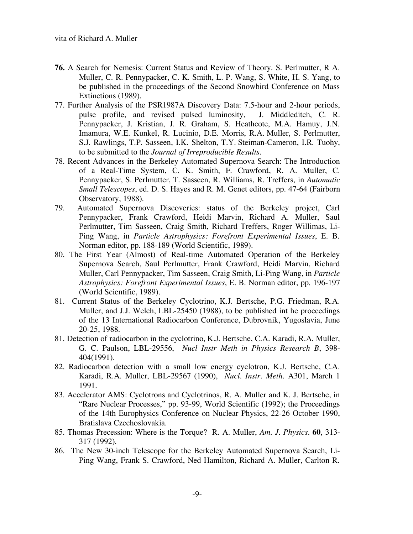- **76.** A Search for Nemesis: Current Status and Review of Theory. S. Perlmutter, R A. Muller, C. R. Pennypacker, C. K. Smith, L. P. Wang, S. White, H. S. Yang, to be published in the proceedings of the Second Snowbird Conference on Mass Extinctions (1989).
- 77. Further Analysis of the PSR1987A Discovery Data: 7.5-hour and 2-hour periods, pulse profile, and revised pulsed luminosity, J. Middleditch, C. R. Pennypacker, J. Kristian, J. R. Graham, S. Heathcote, M.A. Hamuy, J.N. Imamura, W.E. Kunkel, R. Lucinio, D.E. Morris, R.A. Muller, S. Perlmutter, S.J. Rawlings, T.P. Sasseen, I.K. Shelton, T.Y. Steiman-Cameron, I.R. Tuohy, to be submitted to the *Journal of Irreproducible Results*.
- 78. Recent Advances in the Berkeley Automated Supernova Search: The Introduction of a Real-Time System, C. K. Smith, F. Crawford, R. A. Muller, C. Pennypacker, S. Perlmutter, T. Sasseen, R. Williams, R. Treffers, in *Automatic Small Telescopes*, ed. D. S. Hayes and R. M. Genet editors, pp. 47-64 (Fairborn Observatory, 1988).
- 79. Automated Supernova Discoveries: status of the Berkeley project, Carl Pennypacker, Frank Crawford, Heidi Marvin, Richard A. Muller, Saul Perlmutter, Tim Sasseen, Craig Smith, Richard Treffers, Roger Willimas, Li-Ping Wang, in *Particle Astrophysics: Forefront Experimental Issues*, E. B. Norman editor, pp. 188-189 (World Scientific, 1989).
- 80. The First Year (Almost) of Real-time Automated Operation of the Berkeley Supernova Search, Saul Perlmutter, Frank Crawford, Heidi Marvin, Richard Muller, Carl Pennypacker, Tim Sasseen, Craig Smith, Li-Ping Wang, in *Particle Astrophysics: Forefront Experimental Issues*, E. B. Norman editor, pp. 196-197 (World Scientific, 1989).
- 81. Current Status of the Berkeley Cyclotrino, K.J. Bertsche, P.G. Friedman, R.A. Muller, and J.J. Welch, LBL-25450 (1988), to be published int he proceedings of the 13 International Radiocarbon Conference, Dubrovnik, Yugoslavia, June 20-25, 1988.
- 81. Detection of radiocarbon in the cyclotrino, K.J. Bertsche, C.A. Karadi, R.A. Muller, G. C. Paulson, LBL-29556, *Nucl Instr Meth in Physics Research B*, 398- 404(1991).
- 82. Radiocarbon detection with a small low energy cyclotron, K.J. Bertsche, C.A. Karadi, R.A. Muller, LBL-29567 (1990), *Nucl. Instr. Meth.* A301, March 1 1991.
- 83. Accelerator AMS: Cyclotrons and Cyclotrinos, R. A. Muller and K. J. Bertsche, in "Rare Nuclear Processes," pp. 93-99, World Scientific (1992); the Proceedings of the 14th Europhysics Conference on Nuclear Physics, 22-26 October 1990, Bratislava Czechoslovakia.
- 85. Thomas Precession: Where is the Torque? R. A. Muller, *Am. J. Physics*. **60**, 313- 317 (1992).
- 86. The New 30-inch Telescope for the Berkeley Automated Supernova Search, Li-Ping Wang, Frank S. Crawford, Ned Hamilton, Richard A. Muller, Carlton R.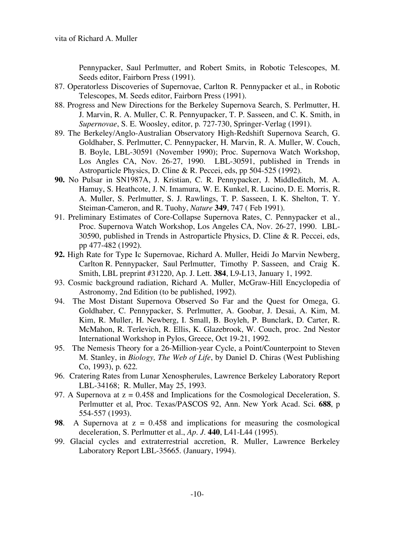Pennypacker, Saul Perlmutter, and Robert Smits, in Robotic Telescopes, M. Seeds editor, Fairborn Press (1991).

- 87. Operatorless Discoveries of Supernovae, Carlton R. Pennypacker et al., in Robotic Telescopes, M. Seeds editor, Fairborn Press (1991).
- 88. Progress and New Directions for the Berkeley Supernova Search, S. Perlmutter, H. J. Marvin, R. A. Muller, C. R. Pennyupacker, T. P. Sasseen, and C. K. Smith, in *Supernovae*, S. E. Woosley, editor, p. 727-730, Springer-Verlag (1991).
- 89. The Berkeley/Anglo-Australian Observatory High-Redshift Supernova Search, G. Goldhaber, S. Perlmutter, C. Pennypacker, H. Marvin, R. A. Muller, W. Couch, B. Boyle, LBL-30591 (November 1990); Proc. Supernova Watch Workshop, Los Angles CA, Nov. 26-27, 1990. LBL-30591, published in Trends in Astroparticle Physics, D. Cline & R. Peccei, eds, pp 504-525 (1992).
- **90.** No Pulsar in SN1987A, J. Kristian, C. R. Pennypacker, J. Middleditch, M. A. Hamuy, S. Heathcote, J. N. Imamura, W. E. Kunkel, R. Lucino, D. E. Morris, R. A. Muller, S. Perlmutter, S. J. Rawlings, T. P. Sasseen, I. K. Shelton, T. Y. Steiman-Cameron, and R. Tuohy, *Nature* **349**, 747 ( Feb 1991).
- 91. Preliminary Estimates of Core-Collapse Supernova Rates, C. Pennypacker et al., Proc. Supernova Watch Workshop, Los Angeles CA, Nov. 26-27, 1990. LBL-30590, published in Trends in Astroparticle Physics, D. Cline & R. Peccei, eds, pp 477-482 (1992).
- **92.** High Rate for Type Ic Supernovae, Richard A. Muller, Heidi Jo Marvin Newberg, Carlton R. Pennypacker, Saul Perlmutter, Timothy P. Sasseen, and Craig K. Smith, LBL preprint #31220, Ap. J. Lett. **384**, L9-L13, January 1, 1992.
- 93. Cosmic background radiation, Richard A. Muller, McGraw-Hill Encyclopedia of Astronomy, 2nd Edition (to be published, 1992).
- 94. The Most Distant Supernova Observed So Far and the Quest for Omega, G. Goldhaber, C. Pennypacker, S. Perlmutter, A. Goobar, J. Desai, A. Kim, M. Kim, R. Muller, H. Newberg, I. Small, B. Boyleh, P. Bunclark, D. Carter, R. McMahon, R. Terlevich, R. Ellis, K. Glazebrook, W. Couch, proc. 2nd Nestor International Workshop in Pylos, Greece, Oct 19-21, 1992.
- 95. The Nemesis Theory for a 26-Million-year Cycle, a Point/Counterpoint to Steven M. Stanley, in *Biology, The Web of Life*, by Daniel D. Chiras (West Publishing Co, 1993), p. 622.
- 96. Cratering Rates from Lunar Xenospherules, Lawrence Berkeley Laboratory Report LBL-34168; R. Muller, May 25, 1993.
- 97. A Supernova at  $z = 0.458$  and Implications for the Cosmological Deceleration, S. Perlmutter et al, Proc. Texas/PASCOS 92, Ann. New York Acad. Sci. **688**, p 554-557 (1993).
- **98**. A Supernova at z = 0.458 and implications for measuring the cosmological deceleration, S. Perlmutter et al., *Ap. J.* **440**, L41-L44 (1995).
- 99. Glacial cycles and extraterrestrial accretion, R. Muller, Lawrence Berkeley Laboratory Report LBL-35665. (January, 1994).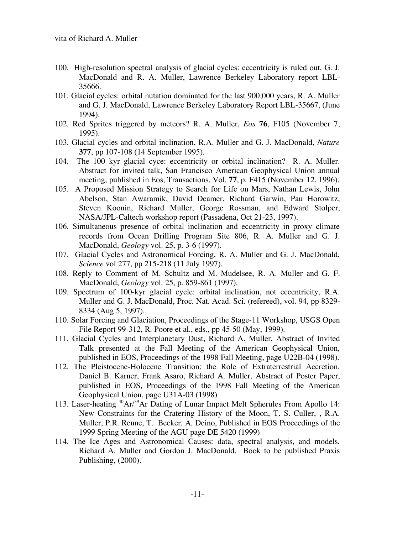- 100. High-resolution spectral analysis of glacial cycles: eccentricity is ruled out, G. J. MacDonald and R. A. Muller, Lawrence Berkeley Laboratory report LBL-35666.
- 101. Glacial cycles: orbital nutation dominated for the last 900,000 years, R. A. Muller and G. J. MacDonald, Lawrence Berkeley Laboratory Report LBL-35667, (June 1994).
- 102. Red Sprites triggered by meteors? R. A. Muller, *Eos* **76**, F105 (November 7, 1995).
- 103. Glacial cycles and orbital inclination, R.A. Muller and G. J. MacDonald, *Nature* **377**, pp 107-108 (14 September 1995).
- 104. The 100 kyr glacial cyce: eccentricity or orbital inclination? R. A. Muller. Abstract for invited talk, San Francisco American Geophysical Union annual meeting, published in Eos, Transactions, Vol. **77**, p. F415 (November 12, 1996).
- 105. A Proposed Mission Strategy to Search for Life on Mars, Nathan Lewis, John Abelson, Stan Awaramik, David Deamer, Richard Garwin, Pau Horowitz, Steven Koonin, Richard Muller, George Rossman, and Edward Stolper, NASA/JPL-Caltech workshop report (Passadena, Oct 21-23, 1997).
- 106. Simultaneous presence of orbital inclination and eccentricity in proxy climate records from Ocean Drilling Program Site 806, R. A. Muller and G. J. MacDonald, *Geology* vol. 25, p. 3-6 (1997).
- 107. Glacial Cycles and Astronomical Forcing, R. A. Muller and G. J. MacDonald, *Science* vol 277, pp 215-218 (11 July 1997).
- 108. Reply to Comment of M. Schultz and M. Mudelsee, R. A. Muller and G. F. MacDonald, *Geology* vol. 25, p. 859-861 (1997).
- 109. Spectrum of 100-kyr glacial cycle: orbital inclination, not eccentricity, R.A. Muller and G. J. MacDonald, Proc. Nat. Acad. Sci. (refereed), vol. 94, pp 8329- 8334 (Aug 5, 1997).
- 110. Solar Forcing and Glaciation, Proceedings of the Stage-11 Workshop, USGS Open File Report 99-312, R. Poore et al., eds., pp 45-50 (May, 1999).
- 111. Glacial Cycles and Interplanetary Dust, Richard A. Muller, Abstract of Invited Talk presented at the Fall Meeting of the American Geophysical Union, published in EOS, Proceedings of the 1998 Fall Meeting, page U22B-04 (1998).
- 112. The Pleistocene-Holocene Transition: the Role of Extraterrestrial Accretion, Daniel B. Karner, Frank Asaro, Richard A. Muller, Abstract of Poster Paper, published in EOS, Proceedings of the 1998 Fall Meeting of the American Geophysical Union, page U31A-03 (1998)
- 113. Laser-heating <sup>40</sup>Ar/<sup>39</sup>Ar Dating of Lunar Impact Melt Spherules From Apollo 14: New Constraints for the Cratering History of the Moon, T. S. Culler, , R.A. Muller, P.R. Renne, T. Becker, A. Deino, Published in EOS Proceedings of the 1999 Spring Meeting of the AGU page DE 5420 (1999)
- 114. The Ice Ages and Astronomical Causes: data, spectral analysis, and models. Richard A. Muller and Gordon J. MacDonald. Book to be published Praxis Publishing, (2000).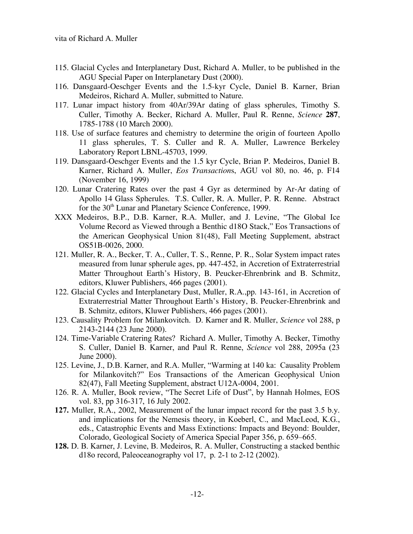- 115. Glacial Cycles and Interplanetary Dust, Richard A. Muller, to be published in the AGU Special Paper on Interplanetary Dust (2000).
- 116. Dansgaard-Oeschger Events and the 1.5-kyr Cycle, Daniel B. Karner, Brian Medeiros, Richard A. Muller, submitted to Nature.
- 117. Lunar impact history from 40Ar/39Ar dating of glass spherules, Timothy S. Culler, Timothy A. Becker, Richard A. Muller, Paul R. Renne, *Science* **287**, 1785-1788 (10 March 2000).
- 118. Use of surface features and chemistry to determine the origin of fourteen Apollo 11 glass spherules, T. S. Culler and R. A. Muller, Lawrence Berkeley Laboratory Report LBNL-45703, 1999.
- 119. Dansgaard-Oeschger Events and the 1.5 kyr Cycle, Brian P. Medeiros, Daniel B. Karner, Richard A. Muller, *Eos Transaction*s, AGU vol 80, no. 46, p. F14 (November 16, 1999)
- 120. Lunar Cratering Rates over the past 4 Gyr as determined by Ar-Ar dating of Apollo 14 Glass Spherules. T.S. Culler, R. A. Muller, P. R. Renne. Abstract for the 30<sup>th</sup> Lunar and Planetary Science Conference, 1999.
- XXX Medeiros, B.P., D.B. Karner, R.A. Muller, and J. Levine, "The Global Ice Volume Record as Viewed through a Benthic d18O Stack," Eos Transactions of the American Geophysical Union 81(48), Fall Meeting Supplement, abstract OS51B-0026, 2000.
- 121. Muller, R. A., Becker, T. A., Culler, T. S., Renne, P. R., Solar System impact rates measured from lunar spherule ages, pp. 447-452, in Accretion of Extraterrestrial Matter Throughout Earth's History, B. Peucker-Ehrenbrink and B. Schmitz, editors, Kluwer Publishers, 466 pages (2001).
- 122. Glacial Cycles and Interplanetary Dust, Muller, R.A.,pp. 143-161, in Accretion of Extraterrestrial Matter Throughout Earth's History, B. Peucker-Ehrenbrink and B. Schmitz, editors, Kluwer Publishers, 466 pages (2001).
- 123. Causality Problem for Milankovitch. D. Karner and R. Muller, *Science* vol 288, p 2143-2144 (23 June 2000).
- 124. Time-Variable Cratering Rates? Richard A. Muller, Timothy A. Becker, Timothy S. Culler, Daniel B. Karner, and Paul R. Renne, *Science* vol 288, 2095a (23 June 2000).
- 125. Levine, J., D.B. Karner, and R.A. Muller, "Warming at 140 ka: Causality Problem for Milankovitch?" Eos Transactions of the American Geophysical Union 82(47), Fall Meeting Supplement, abstract U12A-0004, 2001.
- 126. R. A. Muller, Book review, "The Secret Life of Dust", by Hannah Holmes, EOS vol. 83, pp 316-317, 16 July 2002.
- **127.** Muller, R.A., 2002, Measurement of the lunar impact record for the past 3.5 b.y. and implications for the Nemesis theory, in Koeberl, C., and MacLeod, K.G., eds., Catastrophic Events and Mass Extinctions: Impacts and Beyond: Boulder, Colorado, Geological Society of America Special Paper 356, p. 659–665.
- **128.** D. B. Karner, J. Levine, B. Medeiros, R. A. Muller, Constructing a stacked benthic d18o record, Paleoceanography vol 17, p. 2-1 to 2-12 (2002).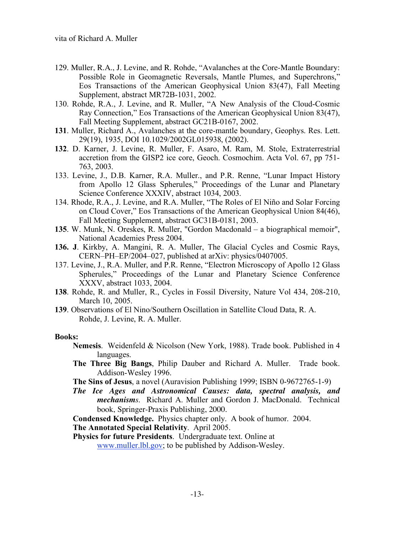- 129. Muller, R.A., J. Levine, and R. Rohde, "Avalanches at the Core-Mantle Boundary: Possible Role in Geomagnetic Reversals, Mantle Plumes, and Superchrons," Eos Transactions of the American Geophysical Union 83(47), Fall Meeting Supplement, abstract MR72B-1031, 2002.
- 130. Rohde, R.A., J. Levine, and R. Muller, "A New Analysis of the Cloud-Cosmic Ray Connection," Eos Transactions of the American Geophysical Union 83(47), Fall Meeting Supplement, abstract GC21B-0167, 2002.
- **131**. Muller, Richard A., Avalanches at the core-mantle boundary, Geophys. Res. Lett. 29(19), 1935, DOI 10.1029/2002GL015938, (2002).
- **132**. D. Karner, J. Levine, R. Muller, F. Asaro, M. Ram, M. Stole, Extraterrestrial accretion from the GISP2 ice core, Geoch. Cosmochim. Acta Vol. 67, pp 751- 763, 2003.
- 133. Levine, J., D.B. Karner, R.A. Muller., and P.R. Renne, "Lunar Impact History from Apollo 12 Glass Spherules," Proceedings of the Lunar and Planetary Science Conference XXXIV, abstract 1034, 2003.
- 134. Rhode, R.A., J. Levine, and R.A. Muller, "The Roles of El Niño and Solar Forcing on Cloud Cover," Eos Transactions of the American Geophysical Union 84(46), Fall Meeting Supplement, abstract GC31B-0181, 2003.
- **135**. W. Munk, N. Oreskes, R. Muller, "Gordon Macdonald a biographical memoir", National Academies Press 2004.
- **136. J**. Kirkby, A. Mangini, R. A. Muller, The Glacial Cycles and Cosmic Rays, CERN–PH–EP/2004–027, published at arXiv: physics/0407005.
- 137. Levine, J., R.A. Muller, and P.R. Renne, "Electron Microscopy of Apollo 12 Glass Spherules," Proceedings of the Lunar and Planetary Science Conference XXXV, abstract 1033, 2004.
- **138**. Rohde, R. and Muller, R., Cycles in Fossil Diversity, Nature Vol 434, 208-210, March 10, 2005.
- **139**. Observations of El Nino/Southern Oscillation in Satellite Cloud Data, R. A. Rohde, J. Levine, R. A. Muller.

### **Books:**

- **Nemesis**. Weidenfeld & Nicolson (New York, 1988). Trade book. Published in 4 languages.
- **The Three Big Bangs**, Philip Dauber and Richard A. Muller. Trade book. Addison-Wesley 1996.
- **The Sins of Jesus**, a novel (Auravision Publishing 1999; ISBN 0-9672765-1-9)
- *The Ice Ages and Astronomical Causes: data, spectral analysis, and mechanisms*. Richard A. Muller and Gordon J. MacDonald. Technical book, Springer-Praxis Publishing, 2000.

**Condensed Knowledge.** Physics chapter only. A book of humor. 2004.

**The Annotated Special Relativity**. April 2005.

**Physics for future Presidents**. Undergraduate text. Online at www.muller.lbl.gov; to be published by Addison-Wesley.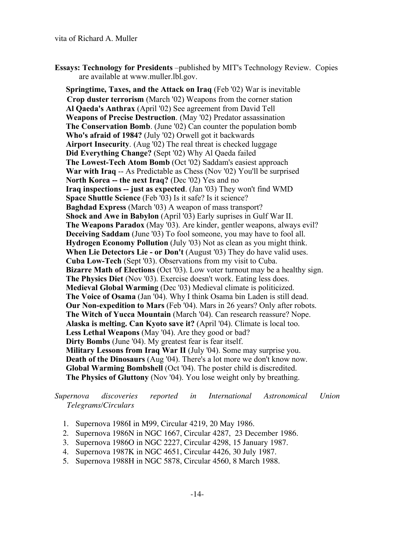**Essays: Technology for Presidents** –published by MIT's Technology Review. Copies are available at www.muller.lbl.gov.

**Springtime, Taxes, and the Attack on Iraq** (Feb '02) War is inevitable **Crop duster terrorism** (March '02) Weapons from the corner station **Al Qaeda's Anthrax** (April '02) See agreement from David Tell **Weapons of Precise Destruction**. (May '02) Predator assassination **The Conservation Bomb**. (June '02) Can counter the population bomb **Who's afraid of 1984?** (July '02) Orwell got it backwards **Airport Insecurity**. (Aug '02) The real threat is checked luggage **Did Everything Change?** (Sept '02) Why Al Qaeda failed **The Lowest-Tech Atom Bomb** (Oct '02) Saddam's easiest approach **War with Iraq** -- As Predictable as Chess (Nov '02) You'll be surprised **North Korea -- the next Iraq?** (Dec '02) Yes and no **Iraq inspections -- just as expected**. (Jan '03) They won't find WMD **Space Shuttle Science** (Feb '03) Is it safe? Is it science? **Baghdad Express** (March '03) A weapon of mass transport? **Shock and Awe in Babylon** (April '03) Early suprises in Gulf War II. **The Weapons Paradox** (May '03). Are kinder, gentler weapons, always evil? **Deceiving Saddam** (June '03) To fool someone, you may have to fool all. **Hydrogen Economy Pollution** (July '03) Not as clean as you might think. **When Lie Detectors Lie - or Don't** (August '03) They do have valid uses. **Cuba Low-Tech** (Sept '03). Observations from my visit to Cuba. **Bizarre Math of Elections** (Oct '03). Low voter turnout may be a healthy sign. **The Physics Diet** (Nov '03). Exercise doesn't work. Eating less does. **Medieval Global Warming** (Dec '03) Medieval climate is politicized. **The Voice of Osama** (Jan '04). Why I think Osama bin Laden is still dead. **Our Non-expedition to Mars** (Feb '04). Mars in 26 years? Only after robots. **The Witch of Yucca Mountain** (March '04). Can research reassure? Nope. **Alaska is melting. Can Kyoto save it?** (April '04). Climate is local too. **Less Lethal Weapons** (May '04). Are they good or bad? **Dirty Bombs** (June '04). My greatest fear is fear itself. **Military Lessons from Iraq War II** (July '04). Some may surprise you. **Death of the Dinosaurs** (Aug '04). There's a lot more we don't know now. **Global Warming Bombshell** (Oct '04). The poster child is discredited. **The Physics of Gluttony** (Nov '04). You lose weight only by breathing.

*Supernova discoveries reported in International Astronomical Union Telegrams/Circulars*

- 1. Supernova 1986I in M99, Circular 4219, 20 May 1986.
- 2. Supernova 1986N in NGC 1667, Circular 4287, 23 December 1986.
- 3. Supernova 1986O in NGC 2227, Circular 4298, 15 January 1987.
- 4. Supernova 1987K in NGC 4651, Circular 4426, 30 July 1987.
- 5. Supernova 1988H in NGC 5878, Circular 4560, 8 March 1988.